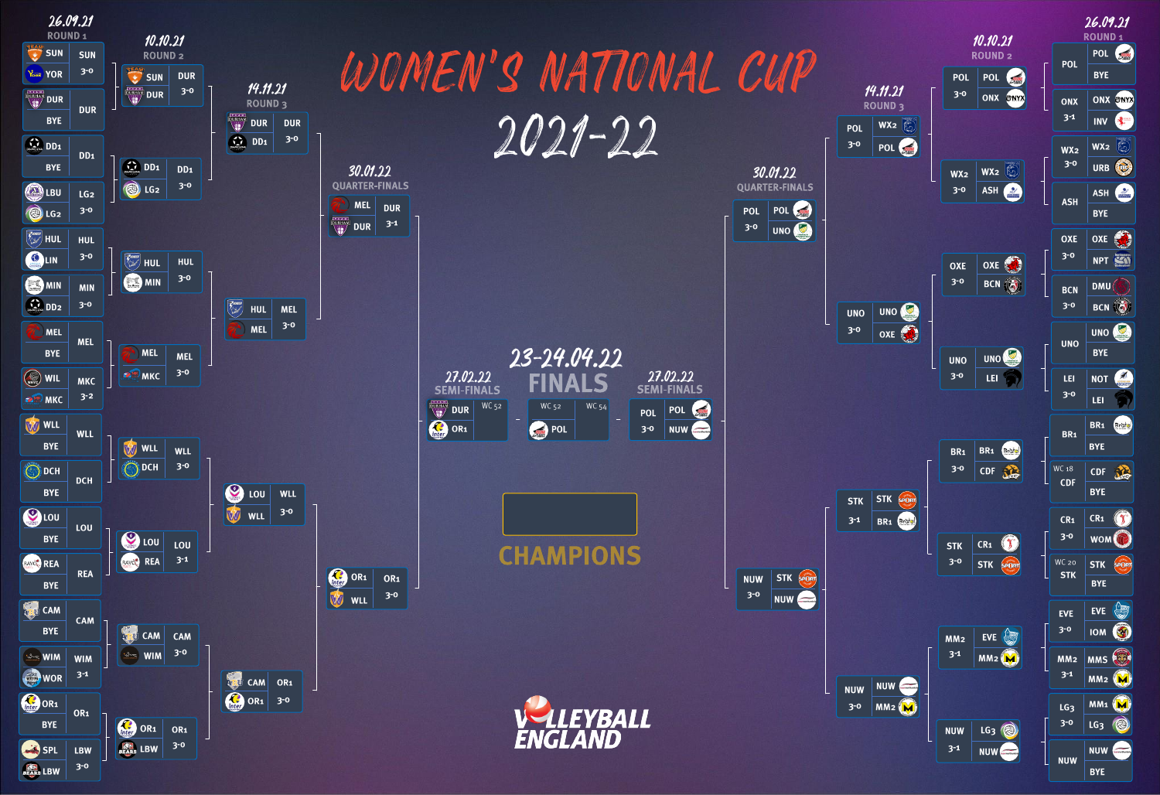